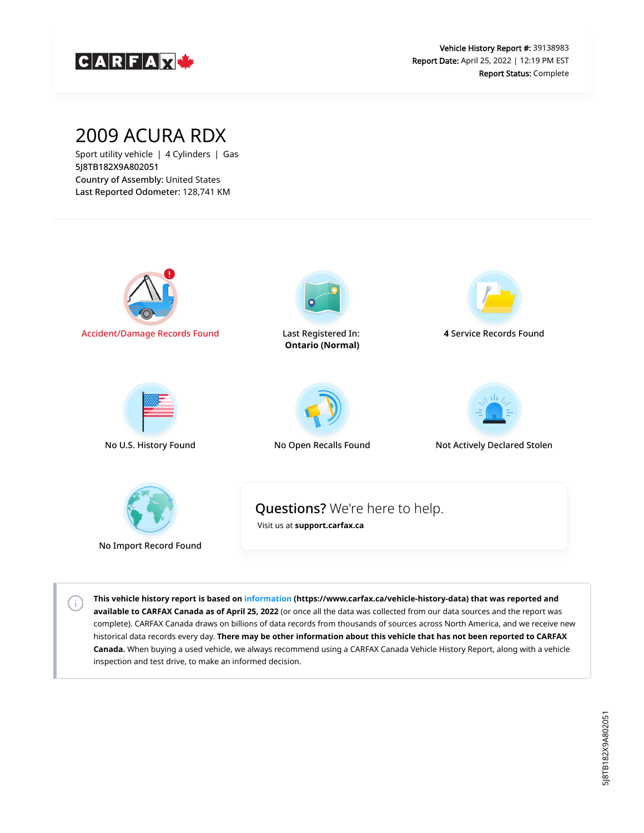

## 2009 ACURA RDX

Sport utility vehicle | 4 Cylinders | Gas 5J8TB182X9A802051 Country of Assembly: United States Last Reported Odometer: 128,741 KM

 $\left( \cdot \right)$ 



**This vehicle history report is based on [information](https://www.carfax.ca/vehicle-history-data) (https://www.carfax.ca/vehicle-history-data) that was reported and available to CARFAX Canada as of April 25, 2022** (or once all the data was collected from our data sources and the report was complete). CARFAX Canada draws on billions of data records from thousands of sources across North America, and we receive new historical data records every day. **There may be other information about this vehicle that has not been reported to CARFAX Canada.** When buying a used vehicle, we always recommend using a CARFAX Canada Vehicle History Report, along with a vehicle inspection and test drive, to make an informed decision.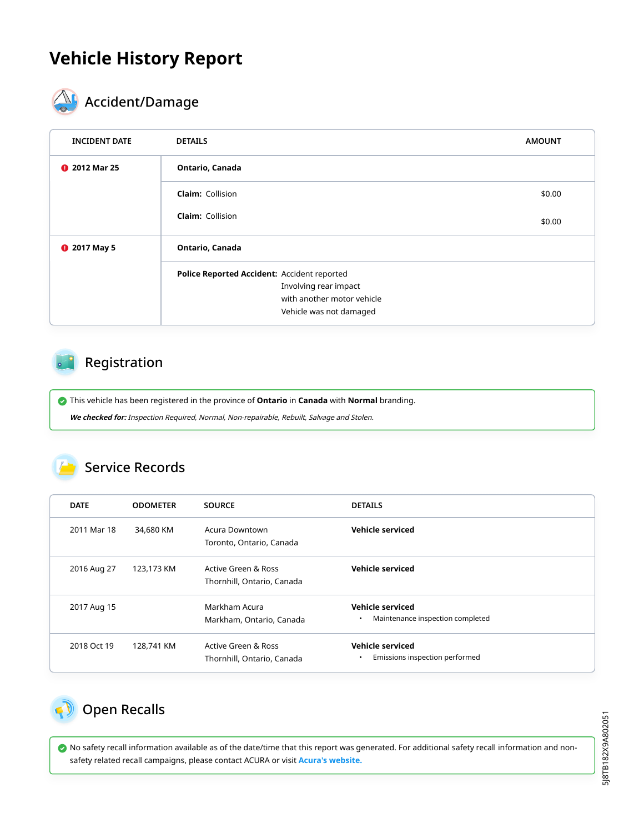## **Vehicle History Report**



# **ACCIDENT** Accident/Damage

| <b>INCIDENT DATE</b> | <b>DETAILS</b>                              | <b>AMOUNT</b> |
|----------------------|---------------------------------------------|---------------|
| <b>@</b> 2012 Mar 25 | Ontario, Canada                             |               |
|                      | <b>Claim: Collision</b>                     | \$0.00        |
|                      | <b>Claim: Collision</b>                     | \$0.00        |
| <b>@</b> 2017 May 5  | Ontario, Canada                             |               |
|                      | Police Reported Accident: Accident reported |               |
|                      | Involving rear impact                       |               |
|                      | with another motor vehicle                  |               |
|                      | Vehicle was not damaged                     |               |

#### Registration

This vehicle has been registered in the province of **Ontario** in **Canada** with **Normal** branding.

**We checked for:** Inspection Required, Normal, Non-repairable, Rebuilt, Salvage and Stolen.

#### Service Records

| <b>DATE</b> | <b>ODOMETER</b> | <b>SOURCE</b>                                     | <b>DETAILS</b>                                                           |
|-------------|-----------------|---------------------------------------------------|--------------------------------------------------------------------------|
| 2011 Mar 18 | 34,680 KM       | Acura Downtown<br>Toronto, Ontario, Canada        | Vehicle serviced                                                         |
| 2016 Aug 27 | 123,173 KM      | Active Green & Ross<br>Thornhill, Ontario, Canada | Vehicle serviced                                                         |
| 2017 Aug 15 |                 | Markham Acura<br>Markham, Ontario, Canada         | <b>Vehicle serviced</b><br>Maintenance inspection completed<br>$\bullet$ |
| 2018 Oct 19 | 128,741 KM      | Active Green & Ross<br>Thornhill, Ontario, Canada | Vehicle serviced<br>Emissions inspection performed<br>$\bullet$          |

<span id="page-1-0"></span>

 No safety recall information available as of the date/time that this report was generated. For additional safety recall information and nonsafety related recall campaigns, please contact ACURA or visit **[Acura's website.](http://www.acura.ca/recalls)**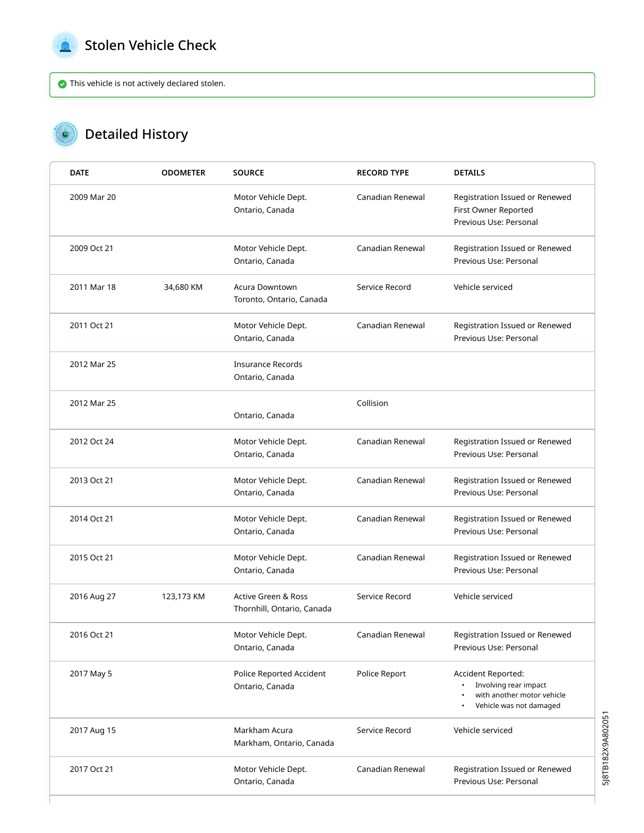<span id="page-2-0"></span>

 $\bullet$ 

#### Stolen Vehicle Check

This vehicle is not actively declared stolen.

### Detailed History

| <b>DATE</b> | <b>ODOMETER</b> | <b>SOURCE</b>                                     | <b>RECORD TYPE</b> | <b>DETAILS</b>                                                                                       |
|-------------|-----------------|---------------------------------------------------|--------------------|------------------------------------------------------------------------------------------------------|
| 2009 Mar 20 |                 | Motor Vehicle Dept.<br>Ontario, Canada            | Canadian Renewal   | Registration Issued or Renewed<br>First Owner Reported<br>Previous Use: Personal                     |
| 2009 Oct 21 |                 | Motor Vehicle Dept.<br>Ontario, Canada            | Canadian Renewal   | Registration Issued or Renewed<br>Previous Use: Personal                                             |
| 2011 Mar 18 | 34,680 KM       | <b>Acura Downtown</b><br>Toronto, Ontario, Canada | Service Record     | Vehicle serviced                                                                                     |
| 2011 Oct 21 |                 | Motor Vehicle Dept.<br>Ontario, Canada            | Canadian Renewal   | Registration Issued or Renewed<br>Previous Use: Personal                                             |
| 2012 Mar 25 |                 | <b>Insurance Records</b><br>Ontario, Canada       |                    |                                                                                                      |
| 2012 Mar 25 |                 | Ontario, Canada                                   | Collision          |                                                                                                      |
| 2012 Oct 24 |                 | Motor Vehicle Dept.<br>Ontario, Canada            | Canadian Renewal   | Registration Issued or Renewed<br>Previous Use: Personal                                             |
| 2013 Oct 21 |                 | Motor Vehicle Dept.<br>Ontario, Canada            | Canadian Renewal   | Registration Issued or Renewed<br>Previous Use: Personal                                             |
| 2014 Oct 21 |                 | Motor Vehicle Dept.<br>Ontario, Canada            | Canadian Renewal   | Registration Issued or Renewed<br>Previous Use: Personal                                             |
| 2015 Oct 21 |                 | Motor Vehicle Dept.<br>Ontario, Canada            | Canadian Renewal   | Registration Issued or Renewed<br>Previous Use: Personal                                             |
| 2016 Aug 27 | 123,173 KM      | Active Green & Ross<br>Thornhill, Ontario, Canada | Service Record     | Vehicle serviced                                                                                     |
| 2016 Oct 21 |                 | Motor Vehicle Dept.<br>Ontario, Canada            | Canadian Renewal   | Registration Issued or Renewed<br>Previous Use: Personal                                             |
| 2017 May 5  |                 | Police Reported Accident<br>Ontario, Canada       | Police Report      | Accident Reported:<br>Involving rear impact<br>with another motor vehicle<br>Vehicle was not damaged |
| 2017 Aug 15 |                 | Markham Acura<br>Markham, Ontario, Canada         | Service Record     | Vehicle serviced                                                                                     |
| 2017 Oct 21 |                 | Motor Vehicle Dept.<br>Ontario, Canada            | Canadian Renewal   | Registration Issued or Renewed<br>Previous Use: Personal                                             |